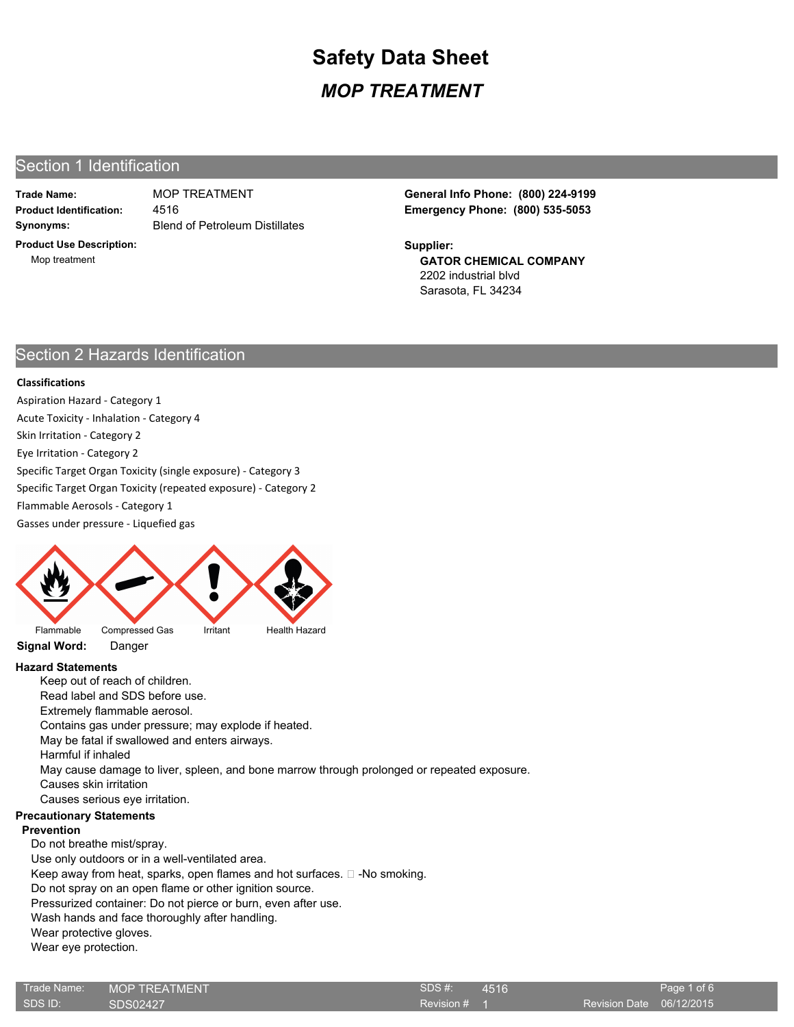# Section 1 Identification

**Trade Name:**

**Synonyms:** Blend of Petroleum Distillates 4516

**Product Use Description:** Mop treatment

**Product Identification: Emergency Phone: (800) 535-5053** MOP TREATMENT **General Info Phone: (800) 224-9199**

> **GATOR CHEMICAL COMPANY** 2202 industrial blvd Sarasota, FL 34234 **Supplier:**

# Section 2 Hazards Identification

### **Classifications**

Aspiration Hazard - Category 1 Acute Toxicity - Inhalation - Category 4 Skin Irritation - Category 2 Eye Irritation - Category 2 Specific Target Organ Toxicity (single exposure) - Category 3 Specific Target Organ Toxicity (repeated exposure) - Category 2 Flammable Aerosols - Category 1 Gasses under pressure - Liquefied gas



**Signal Word:** Danger

## **Hazard Statements**

Keep out of reach of children. Read label and SDS before use. Extremely flammable aerosol. Contains gas under pressure; may explode if heated. May be fatal if swallowed and enters airways. Harmful if inhaled May cause damage to liver, spleen, and bone marrow through prolonged or repeated exposure. Causes skin irritation Causes serious eye irritation. **Precautionary Statements Prevention** Do not breathe mist/spray. Use only outdoors or in a well-ventilated area. Keep away from heat, sparks, open flames and hot surfaces.  $\square$  -No smoking.

Do not spray on an open flame or other ignition source.

Pressurized container: Do not pierce or burn, even after use.

Wash hands and face thoroughly after handling.

Wear protective gloves.

Wear eye protection.

| Trade Name: | <b>MOP TREATMENT</b> | SDS#    |
|-------------|----------------------|---------|
| SDS ID:     | SDS02427             | Revisio |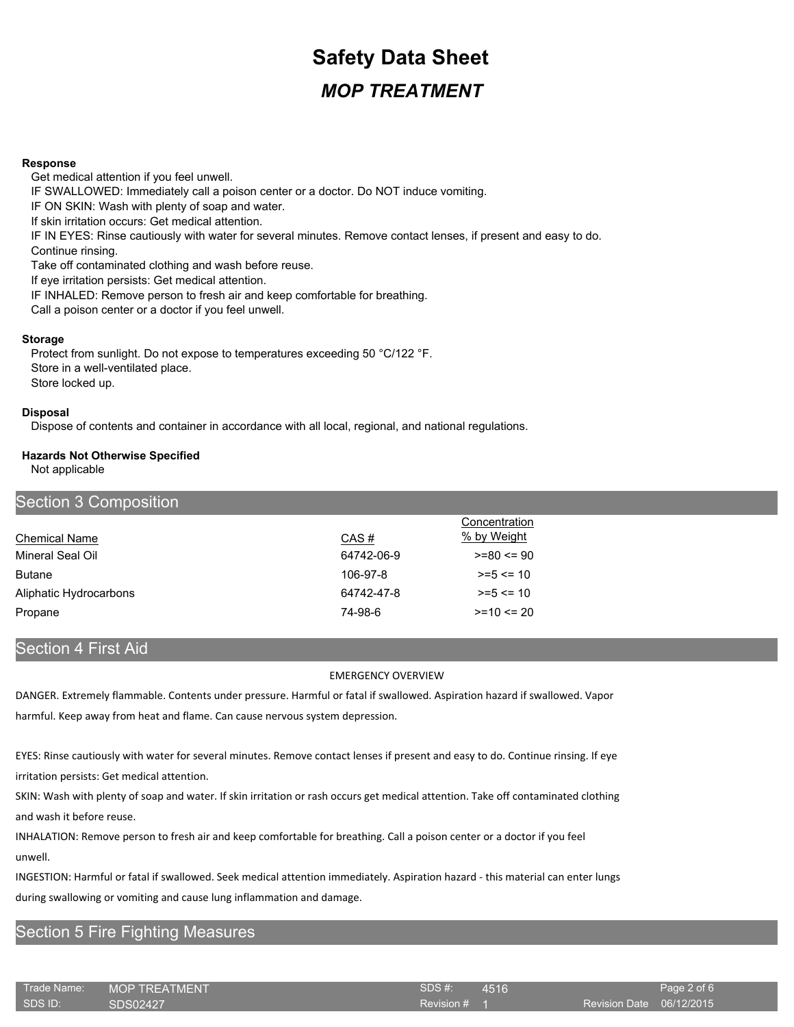#### **Response**

Get medical attention if you feel unwell. IF SWALLOWED: Immediately call a poison center or a doctor. Do NOT induce vomiting. IF ON SKIN: Wash with plenty of soap and water. If skin irritation occurs: Get medical attention. IF IN EYES: Rinse cautiously with water for several minutes. Remove contact lenses, if present and easy to do. Continue rinsing. Take off contaminated clothing and wash before reuse. If eye irritation persists: Get medical attention. IF INHALED: Remove person to fresh air and keep comfortable for breathing. Call a poison center or a doctor if you feel unwell.

#### **Storage**

Protect from sunlight. Do not expose to temperatures exceeding 50 °C/122 °F. Store in a well-ventilated place. Store locked up.

#### **Disposal**

Dispose of contents and container in accordance with all local, regional, and national regulations.

## **Hazards Not Otherwise Specified**

Not applicable

| Section 3 Composition  |            |                |  |
|------------------------|------------|----------------|--|
|                        |            | Concentration  |  |
| Chemical Name          | CAS#       | % by Weight    |  |
| Mineral Seal Oil       | 64742-06-9 | $>= 80 \le 90$ |  |
| <b>Butane</b>          | 106-97-8   | $>= 5 \le 10$  |  |
| Aliphatic Hydrocarbons | 64742-47-8 | $>= 5 \le 10$  |  |
| Propane                | 74-98-6    | $>=10$ $<=$ 20 |  |

## Section 4 First Aid

### EMERGENCY OVERVIEW

DANGER. Extremely flammable. Contents under pressure. Harmful or fatal if swallowed. Aspiration hazard if swallowed. Vapor harmful. Keep away from heat and flame. Can cause nervous system depression.

EYES: Rinse cautiously with water for several minutes. Remove contact lenses if present and easy to do. Continue rinsing. If eye irritation persists: Get medical attention.

SKIN: Wash with plenty of soap and water. If skin irritation or rash occurs get medical attention. Take off contaminated clothing and wash it before reuse.

INHALATION: Remove person to fresh air and keep comfortable for breathing. Call a poison center or a doctor if you feel unwell.

INGESTION: Harmful or fatal if swallowed. Seek medical attention immediately. Aspiration hazard - this material can enter lungs during swallowing or vomiting and cause lung inflammation and damage.

## Section 5 Fire Fighting Measures

| ⊦Trade Name:' | ' MOP TREATMENT. | SDS#    |
|---------------|------------------|---------|
| ∟SDS ID:      | <b>SDS02427</b>  | Revisio |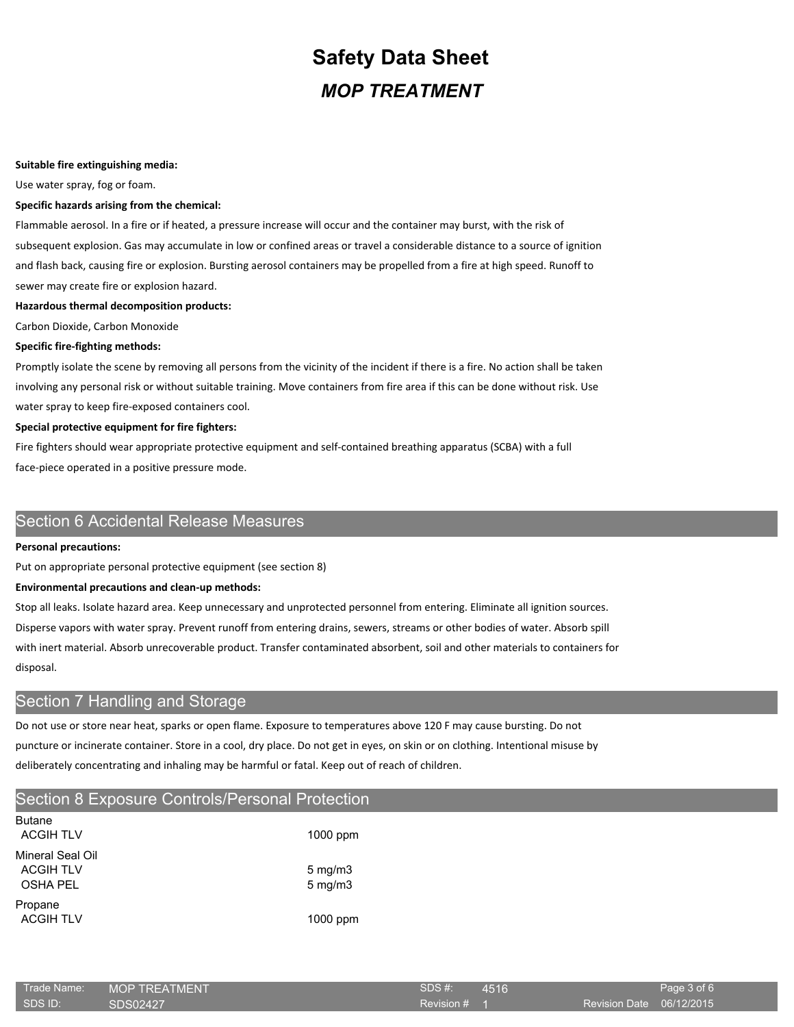#### **Suitable fire extinguishing media:**

Use water spray, fog or foam.

#### **Specific hazards arising from the chemical:**

Flammable aerosol. In a fire or if heated, a pressure increase will occur and the container may burst, with the risk of subsequent explosion. Gas may accumulate in low or confined areas or travel a considerable distance to a source of ignition and flash back, causing fire or explosion. Bursting aerosol containers may be propelled from a fire at high speed. Runoff to sewer may create fire or explosion hazard.

#### **Hazardous thermal decomposition products:**

Carbon Dioxide, Carbon Monoxide

#### **Specific fire-fighting methods:**

Promptly isolate the scene by removing all persons from the vicinity of the incident if there is a fire. No action shall be taken involving any personal risk or without suitable training. Move containers from fire area if this can be done without risk. Use water spray to keep fire-exposed containers cool.

#### **Special protective equipment for fire fighters:**

Fire fighters should wear appropriate protective equipment and self-contained breathing apparatus (SCBA) with a full face-piece operated in a positive pressure mode.

## Section 6 Accidental Release Measures

#### **Personal precautions:**

Put on appropriate personal protective equipment (see section 8)

### **Environmental precautions and clean-up methods:**

Stop all leaks. Isolate hazard area. Keep unnecessary and unprotected personnel from entering. Eliminate all ignition sources. Disperse vapors with water spray. Prevent runoff from entering drains, sewers, streams or other bodies of water. Absorb spill with inert material. Absorb unrecoverable product. Transfer contaminated absorbent, soil and other materials to containers for disposal.

## Section 7 Handling and Storage

Do not use or store near heat, sparks or open flame. Exposure to temperatures above 120 F may cause bursting. Do not puncture or incinerate container. Store in a cool, dry place. Do not get in eyes, on skin or on clothing. Intentional misuse by deliberately concentrating and inhaling may be harmful or fatal. Keep out of reach of children.

## Section 8 Exposure Controls/Personal Protection

| <b>Butane</b><br><b>ACGIH TLV</b>                       | $1000$ ppm                           |
|---------------------------------------------------------|--------------------------------------|
| Mineral Seal Oil<br><b>ACGIH TLV</b><br><b>OSHA PEL</b> | $5 \text{ mg/m}$<br>$5 \text{ mg/m}$ |
| Propane<br><b>ACGIH TLV</b>                             | $1000$ ppm                           |

| Trade Name: | <b>MOP TREATMENT</b> | SDS #:       | $-4516$ |     |
|-------------|----------------------|--------------|---------|-----|
| SDS ID:     | SDS02427             | Revision # 1 |         | Rev |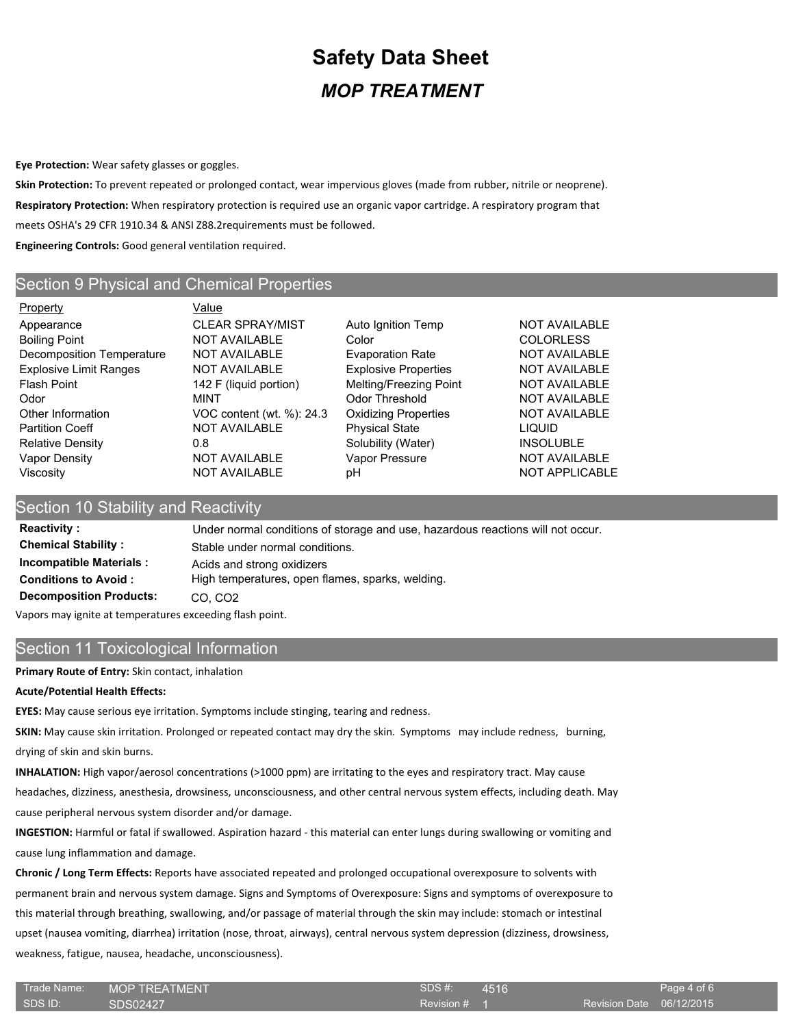**Eye Protection:** Wear safety glasses or goggles.

**Skin Protection:** To prevent repeated or prolonged contact, wear impervious gloves (made from rubber, nitrile or neoprene). **Respiratory Protection:** When respiratory protection is required use an organic vapor cartridge. A respiratory program that meets OSHA's 29 CFR 1910.34 & ANSI Z88.2requirements must be followed. **Engineering Controls:** Good general ventilation required.

## Section 9 Physical and Chemical Properties

Property **Value** Appearance **CLEAR SPRAY/MIST** Auto Ignition Temp NOT AVAILABLE Boiling Point **NOT AVAILABLE** Color Color COLORLESS Decomposition Temperature NOT AVAILABLE Evaporation Rate NOT AVAILABLE Explosive Limit Ranges NOT AVAILABLE Explosive Properties NOT AVAILABLE Flash Point **142 F** (liquid portion) Melting/Freezing Point NOT AVAILABLE Odor MINT Odor Threshold NOT AVAILABLE Other Information **VOC content (wt. %): 24.3** Oxidizing Properties NOT AVAILABLE Partition Coeff **NOT AVAILABLE** Physical State **Physical State** LIQUID Relative Density **CONFING 18 CONSOLUTE:** 0.8 Solubility (Water) **INSOLUBLE** Vapor Density **NOT AVAILABLE** Vapor Pressure NOT AVAILABLE Viscosity **NOT AVAILABLE** pH NOT AVAILABLE pH

## Section 10 Stability and Reactivity

**Reactivity :** Under normal conditions of storage and use, hazardous reactions will not occur. **Chemical Stability :** Stable under normal conditions. **Incompatible Materials :** Acids and strong oxidizers **Conditions to Avoid :** High temperatures, open flames, sparks, welding. **Decomposition Products:** CO, CO2

Vapors may ignite at temperatures exceeding flash point.

## Section 11 Toxicological Information

**Primary Route of Entry:** Skin contact, inhalation

### **Acute/Potential Health Effects:**

**EYES:** May cause serious eye irritation. Symptoms include stinging, tearing and redness.

**SKIN:** May cause skin irritation. Prolonged or repeated contact may dry the skin. Symptoms may include redness, burning, drying of skin and skin burns.

**INHALATION:** High vapor/aerosol concentrations (>1000 ppm) are irritating to the eyes and respiratory tract. May cause headaches, dizziness, anesthesia, drowsiness, unconsciousness, and other central nervous system effects, including death. May cause peripheral nervous system disorder and/or damage.

**INGESTION:** Harmful or fatal if swallowed. Aspiration hazard - this material can enter lungs during swallowing or vomiting and cause lung inflammation and damage.

**Chronic / Long Term Effects:** Reports have associated repeated and prolonged occupational overexposure to solvents with permanent brain and nervous system damage. Signs and Symptoms of Overexposure: Signs and symptoms of overexposure to this material through breathing, swallowing, and/or passage of material through the skin may include: stomach or intestinal upset (nausea vomiting, diarrhea) irritation (nose, throat, airways), central nervous system depression (dizziness, drowsiness, weakness, fatigue, nausea, headache, unconsciousness).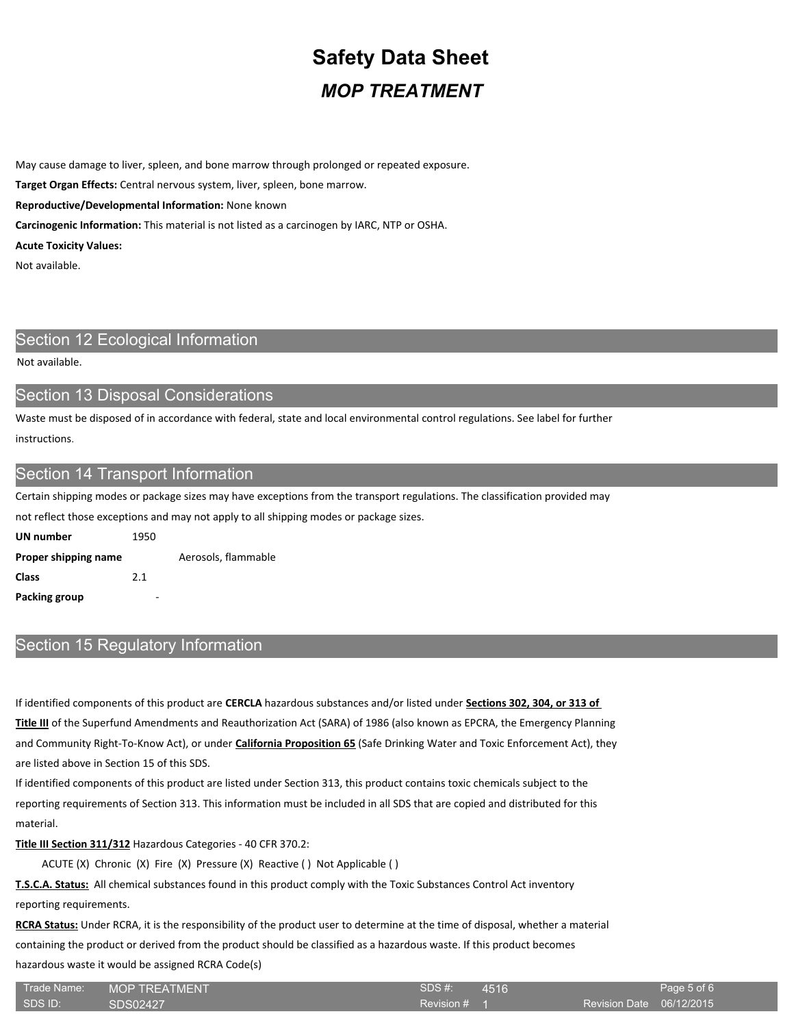May cause damage to liver, spleen, and bone marrow through prolonged or repeated exposure.

**Target Organ Effects:** Central nervous system, liver, spleen, bone marrow.

**Reproductive/Developmental Information:** None known

**Carcinogenic Information:** This material is not listed as a carcinogen by IARC, NTP or OSHA.

**Acute Toxicity Values:**

Not available.

# Section 12 Ecological Information

Not available.

### Section 13 Disposal Considerations

Waste must be disposed of in accordance with federal, state and local environmental control regulations. See label for further instructions.

## Section 14 Transport Information

Certain shipping modes or package sizes may have exceptions from the transport regulations. The classification provided may

not reflect those exceptions and may not apply to all shipping modes or package sizes.

**UN number** 1950 **Proper shipping name** Aerosols, flammable **Class** 2.1 **Packing group** 

## Section 15 Regulatory Information

If identified components of this product are **CERCLA** hazardous substances and/or listed under **Sections 302, 304, or 313 of Title III** of the Superfund Amendments and Reauthorization Act (SARA) of 1986 (also known as EPCRA, the Emergency Planning and Community Right-To-Know Act), or under **California Proposition 65** (Safe Drinking Water and Toxic Enforcement Act), they are listed above in Section 15 of this SDS.

If identified components of this product are listed under Section 313, this product contains toxic chemicals subject to the reporting requirements of Section 313. This information must be included in all SDS that are copied and distributed for this material.

**Title III Section 311/312** Hazardous Categories - 40 CFR 370.2:

ACUTE (X) Chronic (X) Fire (X) Pressure (X) Reactive ( ) Not Applicable ( )

**T.S.C.A. Status:** All chemical substances found in this product comply with the Toxic Substances Control Act inventory reporting requirements.

**RCRA Status:** Under RCRA, it is the responsibility of the product user to determine at the time of disposal, whether a material containing the product or derived from the product should be classified as a hazardous waste. If this product becomes hazardous waste it would be assigned RCRA Code(s)

| Trade Name: | <b>MOP TREATMENT</b> | 'SDS #:    |
|-------------|----------------------|------------|
| ISDS ID:    | SDS02427             | Revision # |

4516